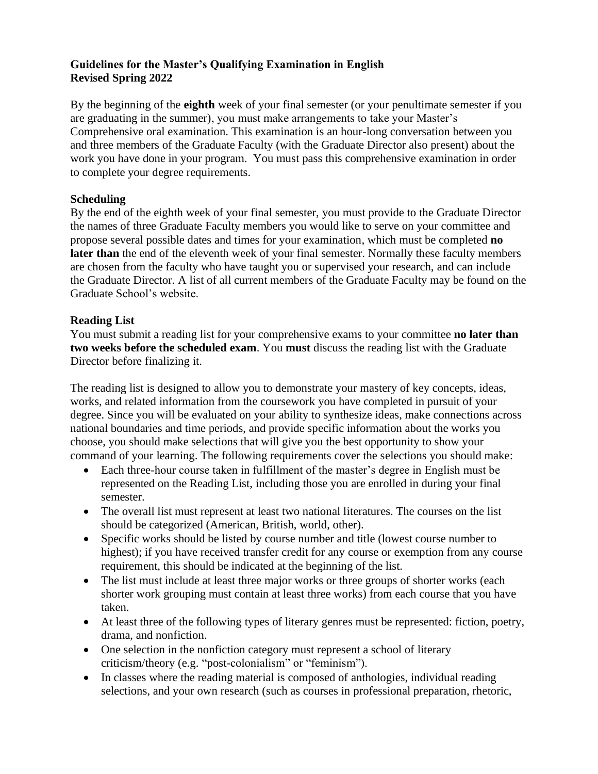## **Guidelines for the Master's Qualifying Examination in English Revised Spring 2022**

By the beginning of the **eighth** week of your final semester (or your penultimate semester if you are graduating in the summer), you must make arrangements to take your Master's Comprehensive oral examination. This examination is an hour-long conversation between you and three members of the Graduate Faculty (with the Graduate Director also present) about the work you have done in your program. You must pass this comprehensive examination in order to complete your degree requirements.

## **Scheduling**

By the end of the eighth week of your final semester, you must provide to the Graduate Director the names of three Graduate Faculty members you would like to serve on your committee and propose several possible dates and times for your examination, which must be completed **no later than** the end of the eleventh week of your final semester. Normally these faculty members are chosen from the faculty who have taught you or supervised your research, and can include the Graduate Director. A list of all current members of the Graduate Faculty may be found on the Graduate School's website.

#### **Reading List**

You must submit a reading list for your comprehensive exams to your committee **no later than two weeks before the scheduled exam**. You **must** discuss the reading list with the Graduate Director before finalizing it.

The reading list is designed to allow you to demonstrate your mastery of key concepts, ideas, works, and related information from the coursework you have completed in pursuit of your degree. Since you will be evaluated on your ability to synthesize ideas, make connections across national boundaries and time periods, and provide specific information about the works you choose, you should make selections that will give you the best opportunity to show your command of your learning. The following requirements cover the selections you should make:

- Each three-hour course taken in fulfillment of the master's degree in English must be represented on the Reading List, including those you are enrolled in during your final semester.
- The overall list must represent at least two national literatures. The courses on the list should be categorized (American, British, world, other).
- Specific works should be listed by course number and title (lowest course number to highest); if you have received transfer credit for any course or exemption from any course requirement, this should be indicated at the beginning of the list.
- The list must include at least three major works or three groups of shorter works (each shorter work grouping must contain at least three works) from each course that you have taken.
- At least three of the following types of literary genres must be represented: fiction, poetry, drama, and nonfiction.
- One selection in the nonfiction category must represent a school of literary criticism/theory (e.g. "post-colonialism" or "feminism").
- In classes where the reading material is composed of anthologies, individual reading selections, and your own research (such as courses in professional preparation, rhetoric,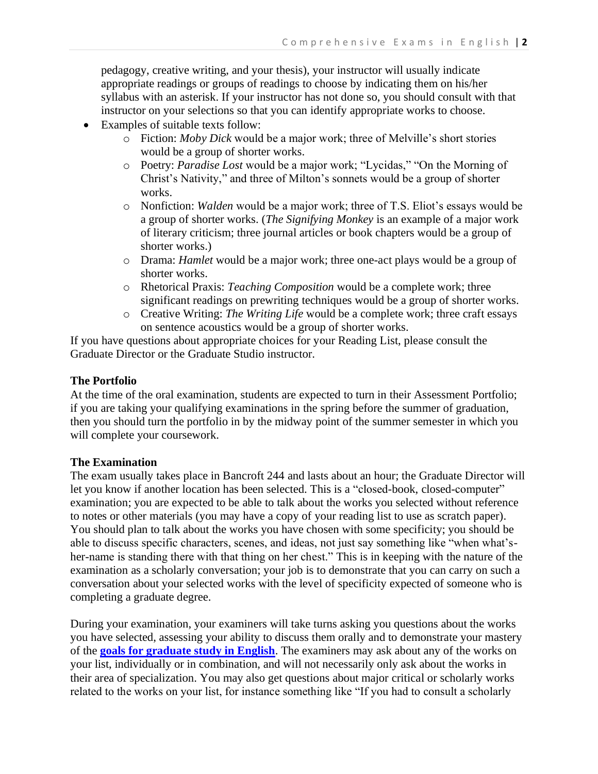pedagogy, creative writing, and your thesis), your instructor will usually indicate appropriate readings or groups of readings to choose by indicating them on his/her syllabus with an asterisk. If your instructor has not done so, you should consult with that instructor on your selections so that you can identify appropriate works to choose.

- Examples of suitable texts follow:
	- o Fiction: *Moby Dick* would be a major work; three of Melville's short stories would be a group of shorter works.
	- o Poetry: *Paradise Lost* would be a major work; "Lycidas," "On the Morning of Christ's Nativity," and three of Milton's sonnets would be a group of shorter works.
	- o Nonfiction: *Walden* would be a major work; three of T.S. Eliot's essays would be a group of shorter works. (*The Signifying Monkey* is an example of a major work of literary criticism; three journal articles or book chapters would be a group of shorter works.)
	- o Drama: *Hamlet* would be a major work; three one-act plays would be a group of shorter works.
	- o Rhetorical Praxis: *Teaching Composition* would be a complete work; three significant readings on prewriting techniques would be a group of shorter works.
	- o Creative Writing: *The Writing Life* would be a complete work; three craft essays on sentence acoustics would be a group of shorter works.

If you have questions about appropriate choices for your Reading List, please consult the Graduate Director or the Graduate Studio instructor.

## **The Portfolio**

At the time of the oral examination, students are expected to turn in their Assessment Portfolio; if you are taking your qualifying examinations in the spring before the summer of graduation, then you should turn the portfolio in by the midway point of the summer semester in which you will complete your coursework.

#### **The Examination**

The exam usually takes place in Bancroft 244 and lasts about an hour; the Graduate Director will let you know if another location has been selected. This is a "closed-book, closed-computer" examination; you are expected to be able to talk about the works you selected without reference to notes or other materials (you may have a copy of your reading list to use as scratch paper). You should plan to talk about the works you have chosen with some specificity; you should be able to discuss specific characters, scenes, and ideas, not just say something like "when what'sher-name is standing there with that thing on her chest." This is in keeping with the nature of the examination as a scholarly conversation; your job is to demonstrate that you can carry on such a conversation about your selected works with the level of specificity expected of someone who is completing a graduate degree.

During your examination, your examiners will take turns asking you questions about the works you have selected, assessing your ability to discuss them orally and to demonstrate your mastery of the **[goals for graduate study in English](https://www.winthrop.edu/cas/english/goals-for-the-graduate-program.aspx)**. The examiners may ask about any of the works on your list, individually or in combination, and will not necessarily only ask about the works in their area of specialization. You may also get questions about major critical or scholarly works related to the works on your list, for instance something like "If you had to consult a scholarly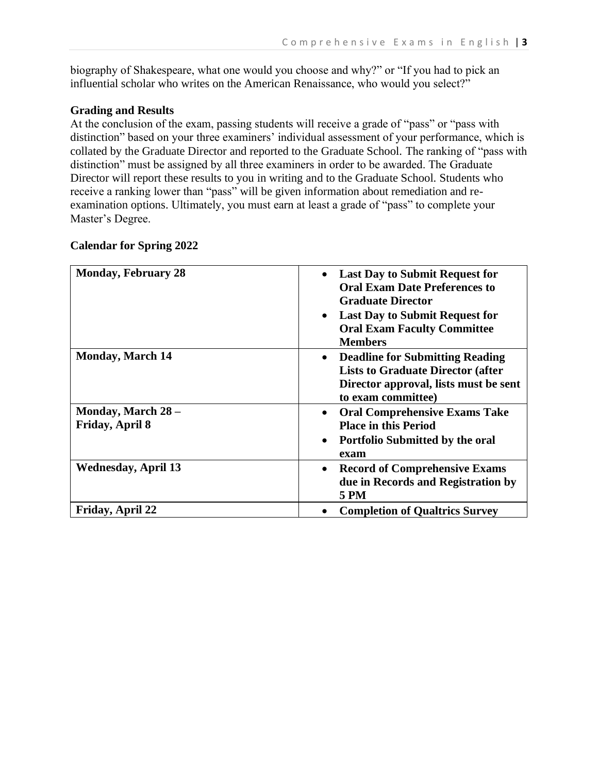biography of Shakespeare, what one would you choose and why?" or "If you had to pick an influential scholar who writes on the American Renaissance, who would you select?"

## **Grading and Results**

At the conclusion of the exam, passing students will receive a grade of "pass" or "pass with distinction" based on your three examiners' individual assessment of your performance, which is collated by the Graduate Director and reported to the Graduate School. The ranking of "pass with distinction" must be assigned by all three examiners in order to be awarded. The Graduate Director will report these results to you in writing and to the Graduate School. Students who receive a ranking lower than "pass" will be given information about remediation and reexamination options. Ultimately, you must earn at least a grade of "pass" to complete your Master's Degree.

| <b>Monday, February 28</b>            | <b>Last Day to Submit Request for</b><br>$\bullet$<br><b>Oral Exam Date Preferences to</b><br><b>Graduate Director</b><br><b>Last Day to Submit Request for</b><br>$\bullet$<br><b>Oral Exam Faculty Committee</b><br><b>Members</b> |
|---------------------------------------|--------------------------------------------------------------------------------------------------------------------------------------------------------------------------------------------------------------------------------------|
| <b>Monday, March 14</b>               | <b>Deadline for Submitting Reading</b><br>$\bullet$<br><b>Lists to Graduate Director (after</b><br>Director approval, lists must be sent<br>to exam committee)                                                                       |
| Monday, March 28 -<br>Friday, April 8 | <b>Oral Comprehensive Exams Take</b><br>$\bullet$<br><b>Place in this Period</b><br><b>Portfolio Submitted by the oral</b><br>$\bullet$<br>exam                                                                                      |
| <b>Wednesday, April 13</b>            | <b>Record of Comprehensive Exams</b><br>$\bullet$<br>due in Records and Registration by<br><b>5 PM</b>                                                                                                                               |
| Friday, April 22                      | <b>Completion of Qualtrics Survey</b>                                                                                                                                                                                                |

### **Calendar for Spring 2022**